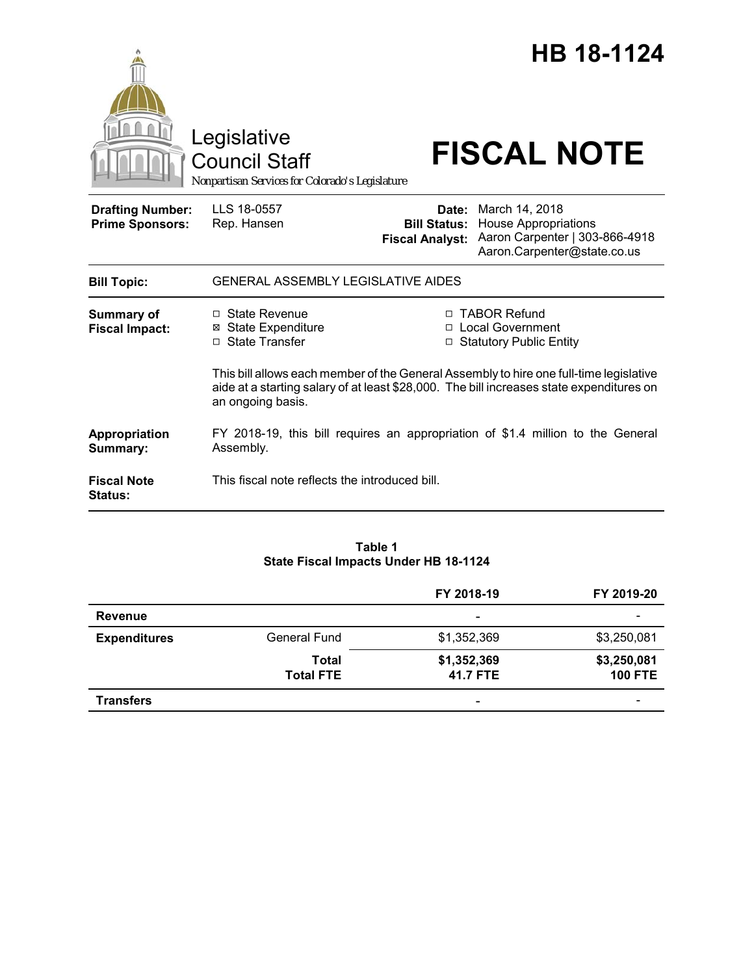|                                                   | Legislative<br><b>Council Staff</b><br>Nonpartisan Services for Colorado's Legislature |                        | HB 18-1124<br><b>FISCAL NOTE</b>                                                                                                                                                                                                                        |
|---------------------------------------------------|----------------------------------------------------------------------------------------|------------------------|---------------------------------------------------------------------------------------------------------------------------------------------------------------------------------------------------------------------------------------------------------|
| <b>Drafting Number:</b><br><b>Prime Sponsors:</b> | LLS 18-0557<br>Rep. Hansen                                                             | <b>Fiscal Analyst:</b> | <b>Date:</b> March 14, 2018<br><b>Bill Status: House Appropriations</b><br>Aaron Carpenter   303-866-4918<br>Aaron.Carpenter@state.co.us                                                                                                                |
| <b>Bill Topic:</b>                                | <b>GENERAL ASSEMBLY LEGISLATIVE AIDES</b>                                              |                        |                                                                                                                                                                                                                                                         |
| <b>Summary of</b><br><b>Fiscal Impact:</b>        | □ State Revenue<br><b>⊠</b> State Expenditure<br>□ State Transfer<br>an ongoing basis. |                        | □ TABOR Refund<br>□ Local Government<br>□ Statutory Public Entity<br>This bill allows each member of the General Assembly to hire one full-time legislative<br>aide at a starting salary of at least \$28,000. The bill increases state expenditures on |
| Appropriation<br>Summary:                         | Assembly.                                                                              |                        | FY 2018-19, this bill requires an appropriation of \$1.4 million to the General                                                                                                                                                                         |
| <b>Fiscal Note</b><br><b>Status:</b>              | This fiscal note reflects the introduced bill.                                         |                        |                                                                                                                                                                                                                                                         |

## **Table 1 State Fiscal Impacts Under HB 18-1124**

|                     |                           | FY 2018-19              | FY 2019-20                    |
|---------------------|---------------------------|-------------------------|-------------------------------|
| <b>Revenue</b>      |                           | ٠                       |                               |
| <b>Expenditures</b> | <b>General Fund</b>       | \$1,352,369             | \$3,250,081                   |
|                     | Total<br><b>Total FTE</b> | \$1,352,369<br>41.7 FTE | \$3,250,081<br><b>100 FTE</b> |
| <b>Transfers</b>    |                           | ٠                       | -                             |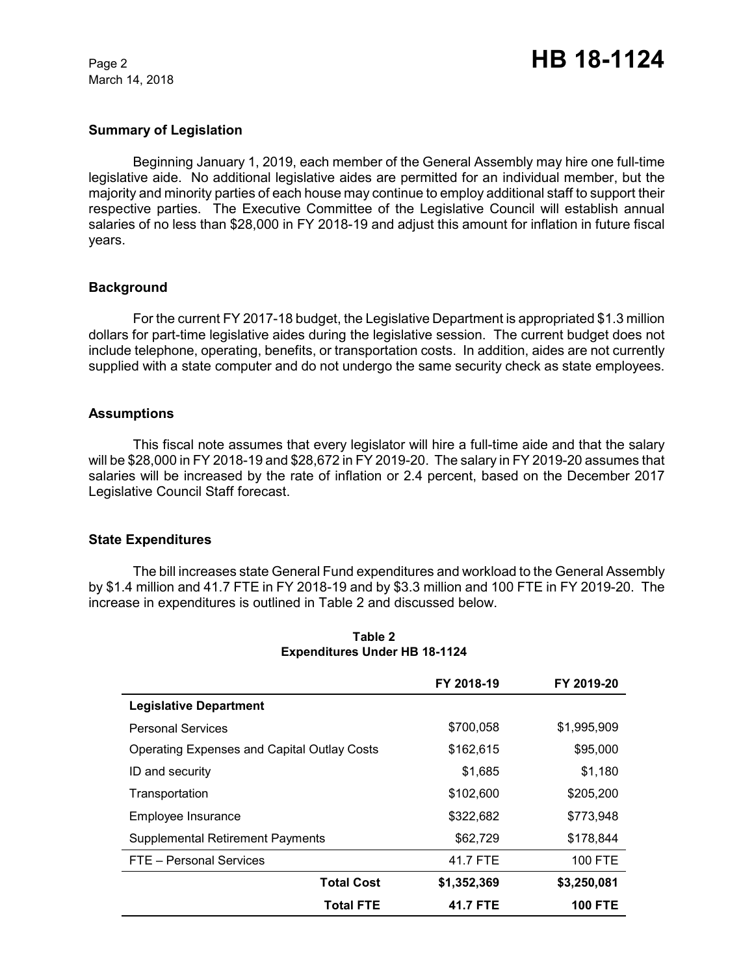March 14, 2018

### **Summary of Legislation**

Beginning January 1, 2019, each member of the General Assembly may hire one full-time legislative aide. No additional legislative aides are permitted for an individual member, but the majority and minority parties of each house may continue to employ additional staff to support their respective parties. The Executive Committee of the Legislative Council will establish annual salaries of no less than \$28,000 in FY 2018-19 and adjust this amount for inflation in future fiscal years.

### **Background**

For the current FY 2017-18 budget, the Legislative Department is appropriated \$1.3 million dollars for part-time legislative aides during the legislative session. The current budget does not include telephone, operating, benefits, or transportation costs. In addition, aides are not currently supplied with a state computer and do not undergo the same security check as state employees.

### **Assumptions**

This fiscal note assumes that every legislator will hire a full-time aide and that the salary will be \$28,000 in FY 2018-19 and \$28,672 in FY 2019-20. The salary in FY 2019-20 assumes that salaries will be increased by the rate of inflation or 2.4 percent, based on the December 2017 Legislative Council Staff forecast.

### **State Expenditures**

The bill increases state General Fund expenditures and workload to the General Assembly by \$1.4 million and 41.7 FTE in FY 2018-19 and by \$3.3 million and 100 FTE in FY 2019-20. The increase in expenditures is outlined in Table 2 and discussed below.

|                                                    | FY 2018-19  | FY 2019-20     |
|----------------------------------------------------|-------------|----------------|
| <b>Legislative Department</b>                      |             |                |
| <b>Personal Services</b>                           | \$700,058   | \$1,995,909    |
| <b>Operating Expenses and Capital Outlay Costs</b> | \$162,615   | \$95,000       |
| ID and security                                    | \$1.685     | \$1,180        |
| Transportation                                     | \$102,600   | \$205,200      |
| Employee Insurance                                 | \$322,682   | \$773,948      |
| <b>Supplemental Retirement Payments</b>            | \$62,729    | \$178,844      |
| FTE - Personal Services                            | 41.7 FTE    | <b>100 FTE</b> |
| <b>Total Cost</b>                                  | \$1,352,369 | \$3,250,081    |
| <b>Total FTE</b>                                   | 41.7 FTE    | <b>100 FTE</b> |

#### **Table 2 Expenditures Under HB 18-1124**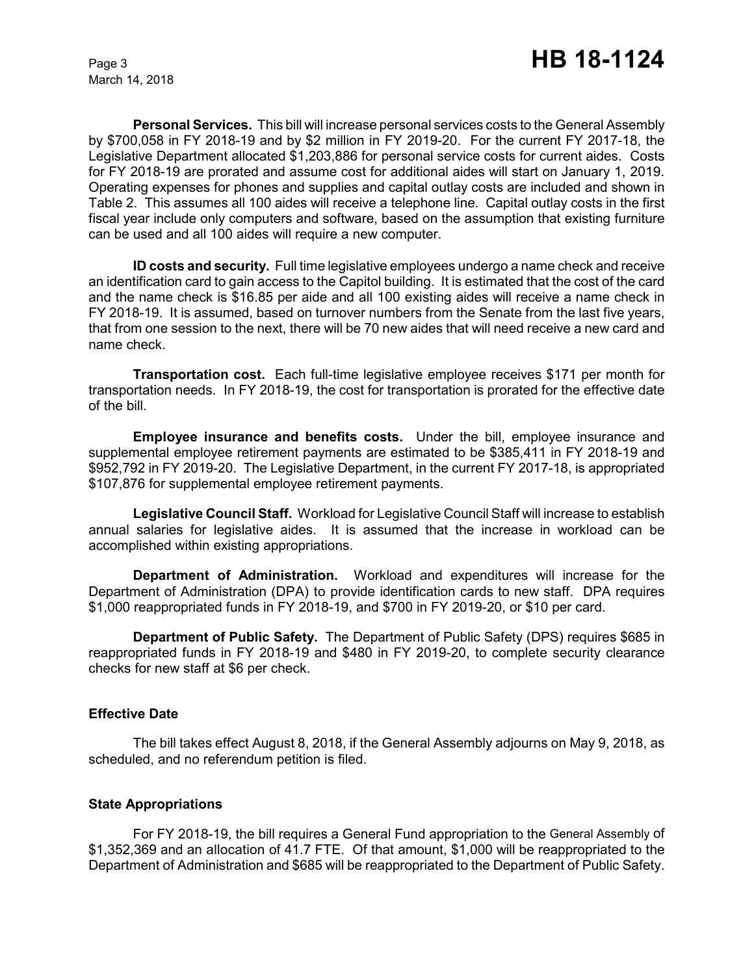March 14, 2018

**Personal Services.** This bill will increase personal services costs to the General Assembly by \$700,058 in FY 2018-19 and by \$2 million in FY 2019-20. For the current FY 2017-18, the Legislative Department allocated \$1,203,886 for personal service costs for current aides. Costs for FY 2018-19 are prorated and assume cost for additional aides will start on January 1, 2019. Operating expenses for phones and supplies and capital outlay costs are included and shown in Table 2. This assumes all 100 aides will receive a telephone line. Capital outlay costs in the first fiscal year include only computers and software, based on the assumption that existing furniture can be used and all 100 aides will require a new computer.

**ID costs and security.** Full time legislative employees undergo a name check and receive an identification card to gain access to the Capitol building. It is estimated that the cost of the card and the name check is \$16.85 per aide and all 100 existing aides will receive a name check in FY 2018-19. It is assumed, based on turnover numbers from the Senate from the last five years, that from one session to the next, there will be 70 new aides that will need receive a new card and name check.

**Transportation cost.** Each full-time legislative employee receives \$171 per month for transportation needs. In FY 2018-19, the cost for transportation is prorated for the effective date of the bill.

**Employee insurance and benefits costs.** Under the bill, employee insurance and supplemental employee retirement payments are estimated to be \$385,411 in FY 2018-19 and \$952,792 in FY 2019-20. The Legislative Department, in the current FY 2017-18, is appropriated \$107,876 for supplemental employee retirement payments.

**Legislative Council Staff.** Workload for Legislative Council Staff will increase to establish annual salaries for legislative aides. It is assumed that the increase in workload can be accomplished within existing appropriations.

**Department of Administration.** Workload and expenditures will increase for the Department of Administration (DPA) to provide identification cards to new staff. DPA requires \$1,000 reappropriated funds in FY 2018-19, and \$700 in FY 2019-20, or \$10 per card.

**Department of Public Safety.** The Department of Public Safety (DPS) requires \$685 in reappropriated funds in FY 2018-19 and \$480 in FY 2019-20, to complete security clearance checks for new staff at \$6 per check.

# **Effective Date**

The bill takes effect August 8, 2018, if the General Assembly adjourns on May 9, 2018, as scheduled, and no referendum petition is filed.

### **State Appropriations**

For FY 2018-19, the bill requires a General Fund appropriation to the General Assembly of \$1,352,369 and an allocation of 41.7 FTE. Of that amount, \$1,000 will be reappropriated to the Department of Administration and \$685 will be reappropriated to the Department of Public Safety.